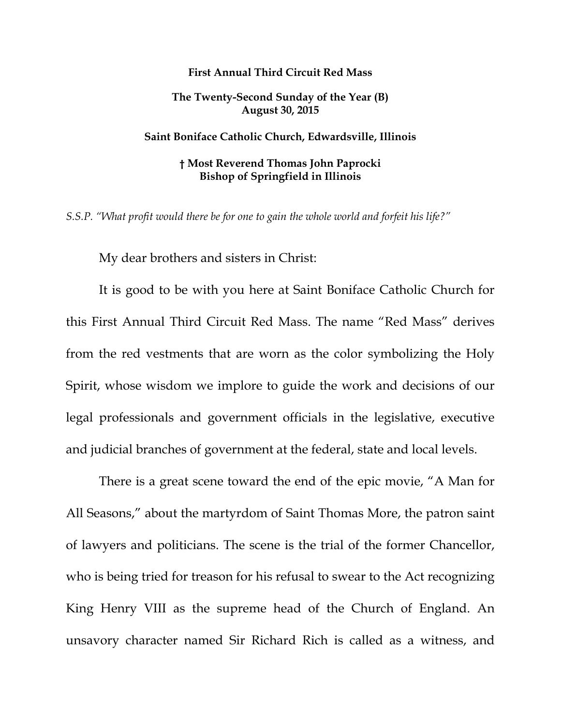## **First Annual Third Circuit Red Mass**

## **The Twenty-Second Sunday of the Year (B) August 30, 2015**

## **Saint Boniface Catholic Church, Edwardsville, Illinois**

## **† Most Reverend Thomas John Paprocki Bishop of Springfield in Illinois**

*S.S.P. "What profit would there be for one to gain the whole world and forfeit his life?"* 

My dear brothers and sisters in Christ:

It is good to be with you here at Saint Boniface Catholic Church for this First Annual Third Circuit Red Mass. The name "Red Mass" derives from the red vestments that are worn as the color symbolizing the Holy Spirit, whose wisdom we implore to guide the work and decisions of our legal professionals and government officials in the legislative, executive and judicial branches of government at the federal, state and local levels.

There is a great scene toward the end of the epic movie, "A Man for All Seasons," about the martyrdom of Saint Thomas More, the patron saint of lawyers and politicians. The scene is the trial of the former Chancellor, who is being tried for treason for his refusal to swear to the Act recognizing King Henry VIII as the supreme head of the Church of England. An unsavory character named Sir Richard Rich is called as a witness, and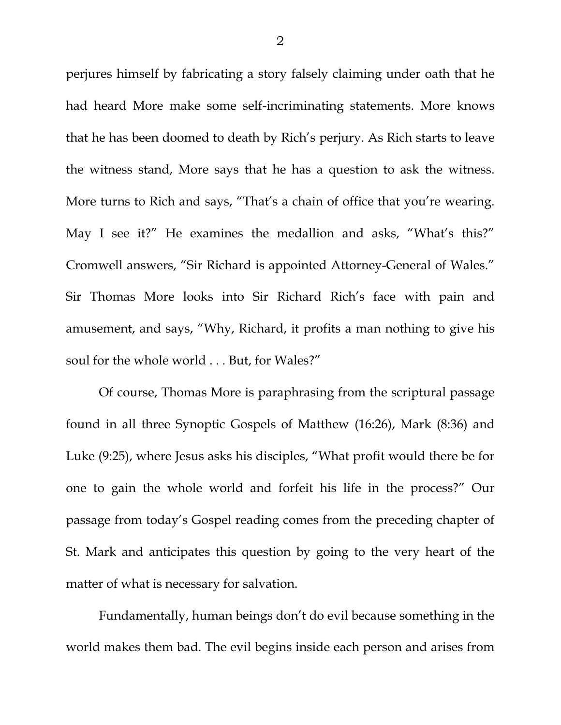perjures himself by fabricating a story falsely claiming under oath that he had heard More make some self-incriminating statements. More knows that he has been doomed to death by Rich's perjury. As Rich starts to leave the witness stand, More says that he has a question to ask the witness. More turns to Rich and says, "That's a chain of office that you're wearing. May I see it?" He examines the medallion and asks, "What's this?" Cromwell answers, "Sir Richard is appointed Attorney-General of Wales." Sir Thomas More looks into Sir Richard Rich's face with pain and amusement, and says, "Why, Richard, it profits a man nothing to give his soul for the whole world . . . But, for Wales?"

Of course, Thomas More is paraphrasing from the scriptural passage found in all three Synoptic Gospels of Matthew (16:26), Mark (8:36) and Luke (9:25), where Jesus asks his disciples, "What profit would there be for one to gain the whole world and forfeit his life in the process?" Our passage from today's Gospel reading comes from the preceding chapter of St. Mark and anticipates this question by going to the very heart of the matter of what is necessary for salvation.

Fundamentally, human beings don't do evil because something in the world makes them bad. The evil begins inside each person and arises from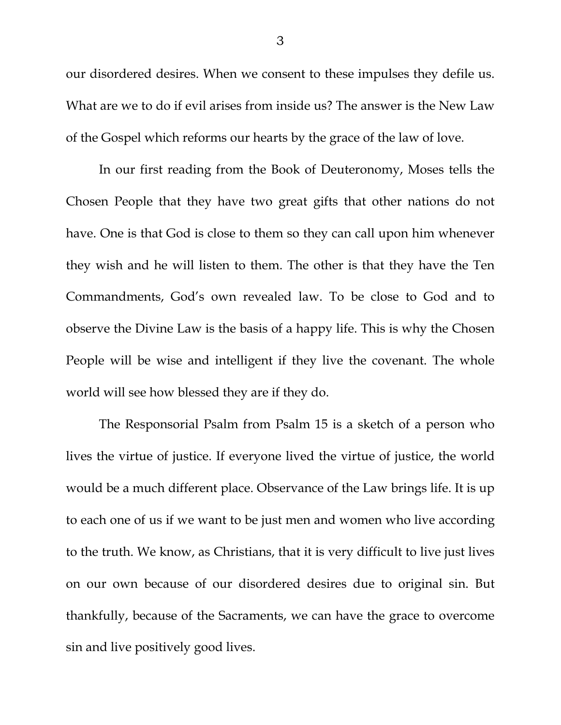our disordered desires. When we consent to these impulses they defile us. What are we to do if evil arises from inside us? The answer is the New Law of the Gospel which reforms our hearts by the grace of the law of love.

In our first reading from the Book of Deuteronomy, Moses tells the Chosen People that they have two great gifts that other nations do not have. One is that God is close to them so they can call upon him whenever they wish and he will listen to them. The other is that they have the Ten Commandments, God's own revealed law. To be close to God and to observe the Divine Law is the basis of a happy life. This is why the Chosen People will be wise and intelligent if they live the covenant. The whole world will see how blessed they are if they do.

The Responsorial Psalm from Psalm 15 is a sketch of a person who lives the virtue of justice. If everyone lived the virtue of justice, the world would be a much different place. Observance of the Law brings life. It is up to each one of us if we want to be just men and women who live according to the truth. We know, as Christians, that it is very difficult to live just lives on our own because of our disordered desires due to original sin. But thankfully, because of the Sacraments, we can have the grace to overcome sin and live positively good lives.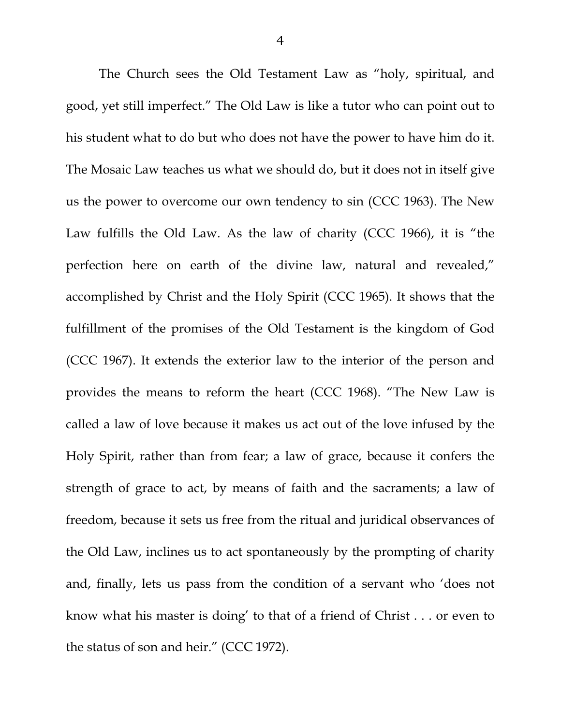The Church sees the Old Testament Law as "holy, spiritual, and good, yet still imperfect." The Old Law is like a tutor who can point out to his student what to do but who does not have the power to have him do it. The Mosaic Law teaches us what we should do, but it does not in itself give us the power to overcome our own tendency to sin (CCC 1963). The New Law fulfills the Old Law. As the law of charity (CCC 1966), it is "the perfection here on earth of the divine law, natural and revealed," accomplished by Christ and the Holy Spirit (CCC 1965). It shows that the fulfillment of the promises of the Old Testament is the kingdom of God (CCC 1967). It extends the exterior law to the interior of the person and provides the means to reform the heart (CCC 1968). "The New Law is called a law of love because it makes us act out of the love infused by the Holy Spirit, rather than from fear; a law of grace, because it confers the strength of grace to act, by means of faith and the sacraments; a law of freedom, because it sets us free from the ritual and juridical observances of the Old Law, inclines us to act spontaneously by the prompting of charity and, finally, lets us pass from the condition of a servant who 'does not know what his master is doing' to that of a friend of Christ . . . or even to the status of son and heir." (CCC 1972).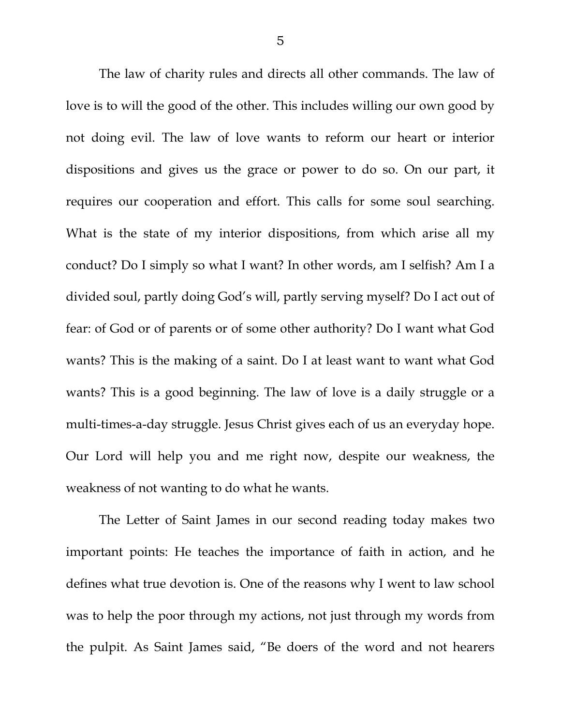The law of charity rules and directs all other commands. The law of love is to will the good of the other. This includes willing our own good by not doing evil. The law of love wants to reform our heart or interior dispositions and gives us the grace or power to do so. On our part, it requires our cooperation and effort. This calls for some soul searching. What is the state of my interior dispositions, from which arise all my conduct? Do I simply so what I want? In other words, am I selfish? Am I a divided soul, partly doing God's will, partly serving myself? Do I act out of fear: of God or of parents or of some other authority? Do I want what God wants? This is the making of a saint. Do I at least want to want what God wants? This is a good beginning. The law of love is a daily struggle or a multi-times-a-day struggle. Jesus Christ gives each of us an everyday hope. Our Lord will help you and me right now, despite our weakness, the weakness of not wanting to do what he wants.

The Letter of Saint James in our second reading today makes two important points: He teaches the importance of faith in action, and he defines what true devotion is. One of the reasons why I went to law school was to help the poor through my actions, not just through my words from the pulpit. As Saint James said, "Be doers of the word and not hearers